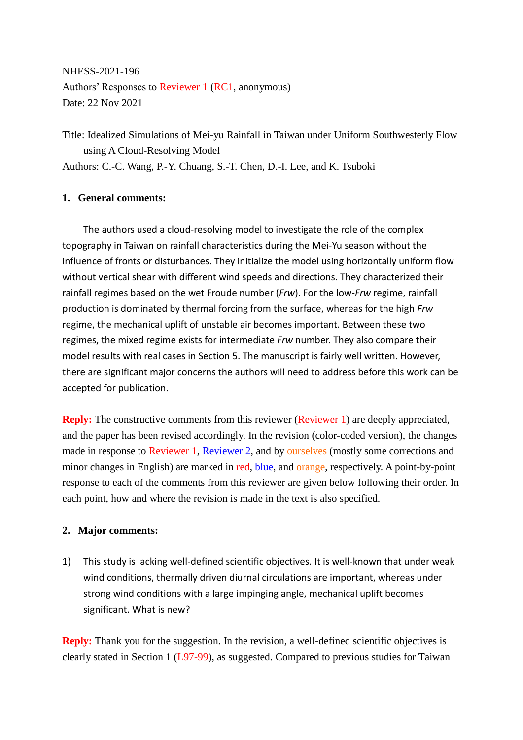NHESS-2021-196 Authors' Responses to Reviewer 1 (RC1, anonymous) Date: 22 Nov 2021

Title: Idealized Simulations of Mei-yu Rainfall in Taiwan under Uniform Southwesterly Flow using A Cloud-Resolving Model Authors: C.-C. Wang, P.-Y. Chuang, S.-T. Chen, D.-I. Lee, and K. Tsuboki

## **1. General comments:**

The authors used a cloud-resolving model to investigate the role of the complex topography in Taiwan on rainfall characteristics during the Mei-Yu season without the influence of fronts or disturbances. They initialize the model using horizontally uniform flow without vertical shear with different wind speeds and directions. They characterized their rainfall regimes based on the wet Froude number (*Frw*). For the low-*Frw* regime, rainfall production is dominated by thermal forcing from the surface, whereas for the high *Frw* regime, the mechanical uplift of unstable air becomes important. Between these two regimes, the mixed regime exists for intermediate *Frw* number. They also compare their model results with real cases in Section 5. The manuscript is fairly well written. However, there are significant major concerns the authors will need to address before this work can be accepted for publication.

**Reply:** The constructive comments from this reviewer (Reviewer 1) are deeply appreciated, and the paper has been revised accordingly. In the revision (color-coded version), the changes made in response to Reviewer 1, Reviewer 2, and by ourselves (mostly some corrections and minor changes in English) are marked in red, blue, and orange, respectively. A point-by-point response to each of the comments from this reviewer are given below following their order. In each point, how and where the revision is made in the text is also specified.

## **2. Major comments:**

1) This study is lacking well-defined scientific objectives. It is well-known that under weak wind conditions, thermally driven diurnal circulations are important, whereas under strong wind conditions with a large impinging angle, mechanical uplift becomes significant. What is new?

**Reply:** Thank you for the suggestion. In the revision, a well-defined scientific objectives is clearly stated in Section 1 (L97-99), as suggested. Compared to previous studies for Taiwan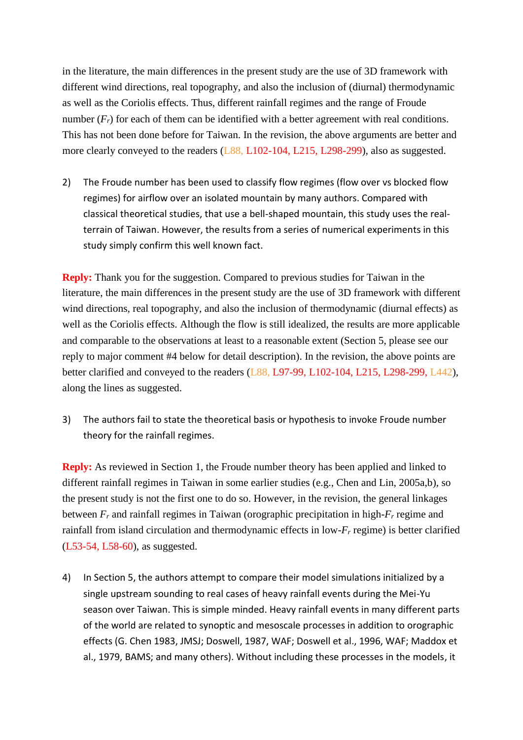in the literature, the main differences in the present study are the use of 3D framework with different wind directions, real topography, and also the inclusion of (diurnal) thermodynamic as well as the Coriolis effects. Thus, different rainfall regimes and the range of Froude number  $(F_r)$  for each of them can be identified with a better agreement with real conditions. This has not been done before for Taiwan. In the revision, the above arguments are better and more clearly conveyed to the readers (L88, L102-104, L215, L298-299), also as suggested.

2) The Froude number has been used to classify flow regimes (flow over vs blocked flow regimes) for airflow over an isolated mountain by many authors. Compared with classical theoretical studies, that use a bell-shaped mountain, this study uses the realterrain of Taiwan. However, the results from a series of numerical experiments in this study simply confirm this well known fact.

**Reply:** Thank you for the suggestion. Compared to previous studies for Taiwan in the literature, the main differences in the present study are the use of 3D framework with different wind directions, real topography, and also the inclusion of thermodynamic (diurnal effects) as well as the Coriolis effects. Although the flow is still idealized, the results are more applicable and comparable to the observations at least to a reasonable extent (Section 5, please see our reply to major comment #4 below for detail description). In the revision, the above points are better clarified and conveyed to the readers (L88, L97-99, L102-104, L215, L298-299, L442), along the lines as suggested.

3) The authors fail to state the theoretical basis or hypothesis to invoke Froude number theory for the rainfall regimes.

**Reply:** As reviewed in Section 1, the Froude number theory has been applied and linked to different rainfall regimes in Taiwan in some earlier studies (e.g., Chen and Lin, 2005a,b), so the present study is not the first one to do so. However, in the revision, the general linkages between *F<sup>r</sup>* and rainfall regimes in Taiwan (orographic precipitation in high-*F<sup>r</sup>* regime and rainfall from island circulation and thermodynamic effects in low-*F<sup>r</sup>* regime) is better clarified (L53-54, L58-60), as suggested.

4) In Section 5, the authors attempt to compare their model simulations initialized by a single upstream sounding to real cases of heavy rainfall events during the Mei-Yu season over Taiwan. This is simple minded. Heavy rainfall events in many different parts of the world are related to synoptic and mesoscale processes in addition to orographic effects (G. Chen 1983, JMSJ; Doswell, 1987, WAF; Doswell et al., 1996, WAF; Maddox et al., 1979, BAMS; and many others). Without including these processes in the models, it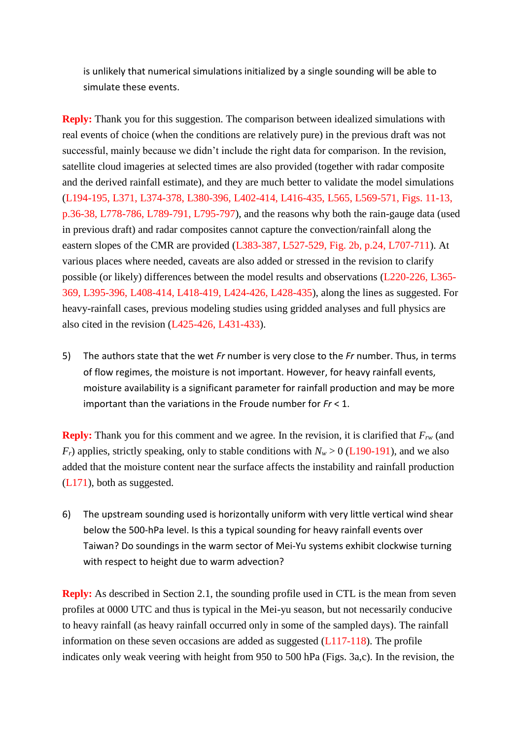is unlikely that numerical simulations initialized by a single sounding will be able to simulate these events.

**Reply:** Thank you for this suggestion. The comparison between idealized simulations with real events of choice (when the conditions are relatively pure) in the previous draft was not successful, mainly because we didn't include the right data for comparison. In the revision, satellite cloud imageries at selected times are also provided (together with radar composite and the derived rainfall estimate), and they are much better to validate the model simulations (L194-195, L371, L374-378, L380-396, L402-414, L416-435, L565, L569-571, Figs. 11-13, p.36-38, L778-786, L789-791, L795-797), and the reasons why both the rain-gauge data (used in previous draft) and radar composites cannot capture the convection/rainfall along the eastern slopes of the CMR are provided (L383-387, L527-529, Fig. 2b, p.24, L707-711). At various places where needed, caveats are also added or stressed in the revision to clarify possible (or likely) differences between the model results and observations (L220-226, L365- 369, L395-396, L408-414, L418-419, L424-426, L428-435), along the lines as suggested. For heavy-rainfall cases, previous modeling studies using gridded analyses and full physics are also cited in the revision (L425-426, L431-433).

5) The authors state that the wet *Fr* number is very close to the *Fr* number. Thus, in terms of flow regimes, the moisture is not important. However, for heavy rainfall events, moisture availability is a significant parameter for rainfall production and may be more important than the variations in the Froude number for *Fr* < 1.

**Reply:** Thank you for this comment and we agree. In the revision, it is clarified that  $F_{rw}$  (and  $F_r$ ) applies, strictly speaking, only to stable conditions with  $N_w > 0$  (L190-191), and we also added that the moisture content near the surface affects the instability and rainfall production (L171), both as suggested.

6) The upstream sounding used is horizontally uniform with very little vertical wind shear below the 500-hPa level. Is this a typical sounding for heavy rainfall events over Taiwan? Do soundings in the warm sector of Mei-Yu systems exhibit clockwise turning with respect to height due to warm advection?

**Reply:** As described in Section 2.1, the sounding profile used in CTL is the mean from seven profiles at 0000 UTC and thus is typical in the Mei-yu season, but not necessarily conducive to heavy rainfall (as heavy rainfall occurred only in some of the sampled days). The rainfall information on these seven occasions are added as suggested  $(L117-118)$ . The profile indicates only weak veering with height from 950 to 500 hPa (Figs. 3a,c). In the revision, the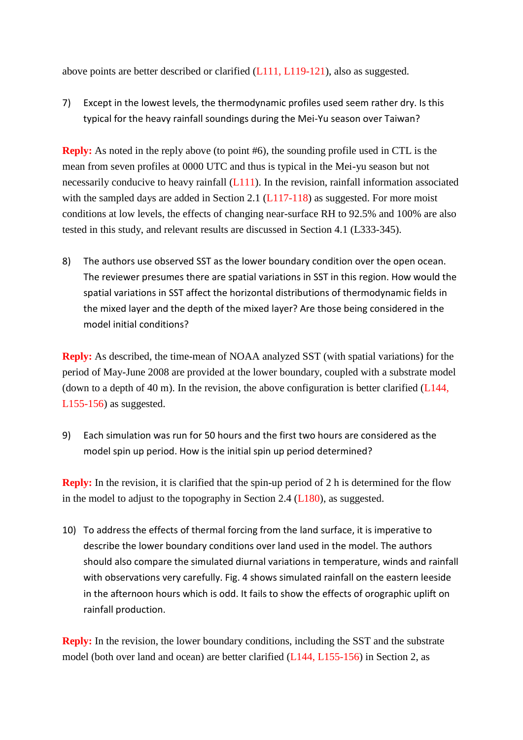above points are better described or clarified (L111, L119-121), also as suggested.

7) Except in the lowest levels, the thermodynamic profiles used seem rather dry. Is this typical for the heavy rainfall soundings during the Mei-Yu season over Taiwan?

**Reply:** As noted in the reply above (to point #6), the sounding profile used in CTL is the mean from seven profiles at 0000 UTC and thus is typical in the Mei-yu season but not necessarily conducive to heavy rainfall  $(L111)$ . In the revision, rainfall information associated with the sampled days are added in Section 2.1 (L117-118) as suggested. For more moist conditions at low levels, the effects of changing near-surface RH to 92.5% and 100% are also tested in this study, and relevant results are discussed in Section 4.1 (L333-345).

8) The authors use observed SST as the lower boundary condition over the open ocean. The reviewer presumes there are spatial variations in SST in this region. How would the spatial variations in SST affect the horizontal distributions of thermodynamic fields in the mixed layer and the depth of the mixed layer? Are those being considered in the model initial conditions?

**Reply:** As described, the time-mean of NOAA analyzed SST (with spatial variations) for the period of May-June 2008 are provided at the lower boundary, coupled with a substrate model (down to a depth of 40 m). In the revision, the above configuration is better clarified  $(L144,$ L155-156) as suggested.

9) Each simulation was run for 50 hours and the first two hours are considered as the model spin up period. How is the initial spin up period determined?

**Reply:** In the revision, it is clarified that the spin-up period of 2 h is determined for the flow in the model to adjust to the topography in Section 2.4 (L180), as suggested.

10) To address the effects of thermal forcing from the land surface, it is imperative to describe the lower boundary conditions over land used in the model. The authors should also compare the simulated diurnal variations in temperature, winds and rainfall with observations very carefully. Fig. 4 shows simulated rainfall on the eastern leeside in the afternoon hours which is odd. It fails to show the effects of orographic uplift on rainfall production.

**Reply:** In the revision, the lower boundary conditions, including the SST and the substrate model (both over land and ocean) are better clarified (L144, L155-156) in Section 2, as